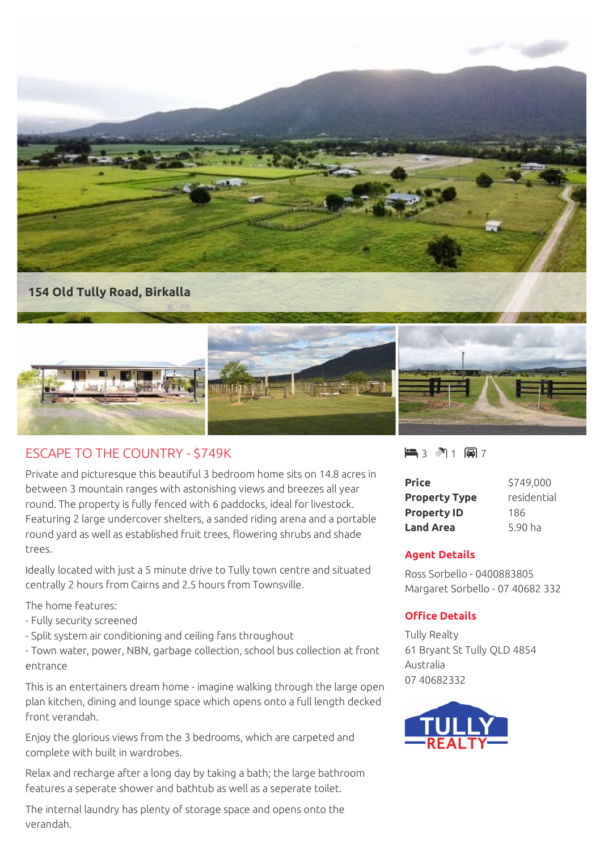

## ESCAPE TO THE COUNTRY - \$749K

Private and picturesque this beautiful 3 bedroom home sits on 14.8 acres in between 3 mountain ranges with astonishing views and breezes all year round. The property is fully fenced with 6 paddocks, ideal for livestock. Featuring 2 large undercover shelters, a sanded riding arena and a portable round yard as well as established fruit trees, flowering shrubs and shade trees.

Ideally located with just a 5 minute drive to Tully town centre and situated centrally 2 hours from Cairns and 2.5 hours from Townsville.

The home features:

- Fully security screened
- Split system air conditioning and ceiling fans throughout

- Town water, power, NBN, garbage collection, school bus collection at front entrance

This is an entertainers dream home - imagine walking through the large open plan kitchen, dining and lounge space which opens onto a full length decked front verandah.

Enjoy the glorious views from the 3 bedrooms, which are carpeted and complete with built in wardrobes.

Relax and recharge after a long day by taking a bath; the large bathroom features a seperate shower and bathtub as well as a seperate toilet.

The internal laundry has plenty of storage space and opens onto the verandah.

 $-3$   $\sqrt[3]{1}$   $-1$   $\sqrt[3]{2}$  7

| <b>Price</b>         | \$749,000   |
|----------------------|-------------|
| <b>Property Type</b> | residential |
| <b>Property ID</b>   | 186         |
| <b>Land Area</b>     | 5.90 ha     |

## **Agent Details**

Ross Sorbello - 0400883805 Margaret Sorbello - 07 40682 332

## **Office Details**

Tully Realty 61 Bryant St Tully QLD 4854 Australia 07 40682332